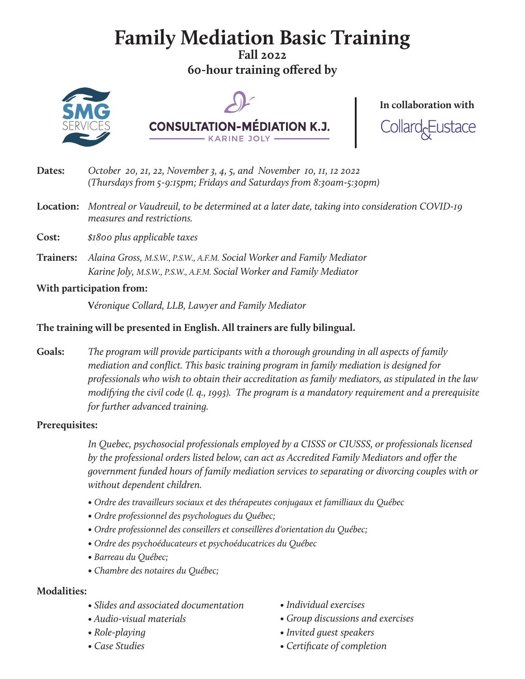# **Family Mediation Basic Training**

**Fall 2022 60-hour training offered by**







- **Dates:** *October 20, 21, 22, November 3, 4, 5, and November 10, 11, 12 2022 (Thursdays from 5-9:15pm; Fridays and Saturdays from 8:30am-5:30pm)*
- **Location:** *Montreal or Vaudreuil, to be determined at a later date, taking into consideration COVID-19 measures and restrictions.*
- **Cost:** *\$1800 plus applicable taxes*
- **Trainers:** *Alaina Gross, M.S.W., P.S.W., A.F.M. Social Worker and Family Mediator Karine Joly, M.S.W., P.S.W., A.F.M. Social Worker and Family Mediator*

#### **With participation from:**

 **V***éronique Collard, LLB, Lawyer and Family Mediator*

#### **The training will be presented in English. All trainers are fully bilingual.**

**Goals:** *The program will provide participants with a thorough grounding in all aspects of family mediation and conflict. This basic training program in family mediation is designed for professionals who wish to obtain their accreditation as family mediators, as stipulated in the law modifying the civil code (l. q., 1993). The program is a mandatory requirement and a prerequisite for further advanced training.*

#### **Prerequisites:**

 *In Quebec, psychosocial professionals employed by a CISSS or CIUSSS, or professionals licensed by the professional orders listed below, can act as Accredited Family Mediators and offer the government funded hours of family mediation services to separating or divorcing couples with or without dependent children.*

- *Ordre des travailleurs sociaux et des thérapeutes conjugaux et familliaux du Québec*
- *Ordre professionnel des psychologues du Québec;*
- *Ordre professionnel des conseillers et conseillères d'orientation du Québec;*
- *Ordre des psychoéducateurs et psychoéducatrices du Québec*
- *Barreau du Québec;*
- *Chambre des notaires du Québec;*

#### **Modalities:**

- *Slides and associated documentation*
- *Audio-visual materials*
- *Role-playing*
- *Case Studies*
- *Individual exercises*
- *Group discussions and exercises*
- *Invited guest speakers*
- *Certificate of completion*